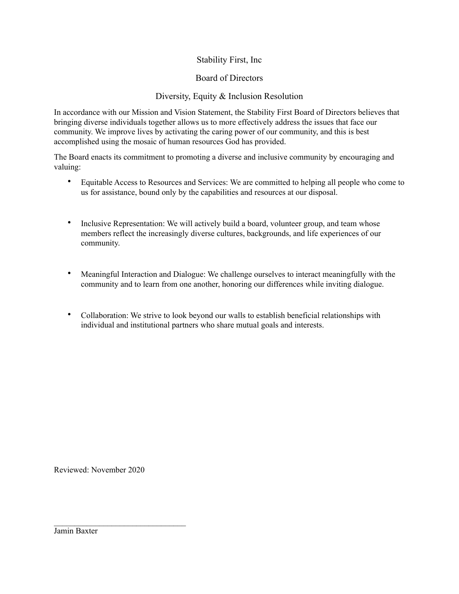## Stability First, Inc

## Board of Directors

## Diversity, Equity & Inclusion Resolution

In accordance with our Mission and Vision Statement, the Stability First Board of Directors believes that bringing diverse individuals together allows us to more effectively address the issues that face our community. We improve lives by activating the caring power of our community, and this is best accomplished using the mosaic of human resources God has provided.

The Board enacts its commitment to promoting a diverse and inclusive community by encouraging and valuing:

- Equitable Access to Resources and Services: We are committed to helping all people who come to us for assistance, bound only by the capabilities and resources at our disposal.
- Inclusive Representation: We will actively build a board, volunteer group, and team whose members reflect the increasingly diverse cultures, backgrounds, and life experiences of our community.
- Meaningful Interaction and Dialogue: We challenge ourselves to interact meaningfully with the community and to learn from one another, honoring our differences while inviting dialogue.
- Collaboration: We strive to look beyond our walls to establish beneficial relationships with individual and institutional partners who share mutual goals and interests.

Reviewed: November 2020

\_\_\_\_\_\_\_\_\_\_\_\_\_\_\_\_\_\_\_\_\_\_\_\_\_\_\_\_\_\_\_\_

Jamin Baxter